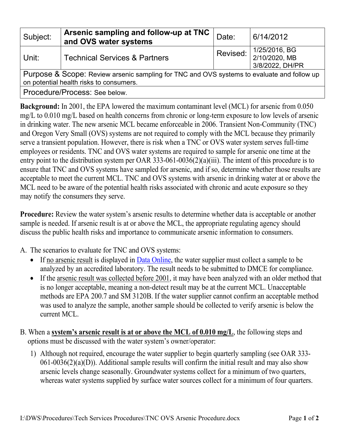| Subject:                                                                                                                              | Arsenic sampling and follow-up at TNC<br>and OVS water systems | Date:    | 6/14/2012                                         |
|---------------------------------------------------------------------------------------------------------------------------------------|----------------------------------------------------------------|----------|---------------------------------------------------|
| Unit:                                                                                                                                 | <b>Technical Services &amp; Partners</b>                       | Revised: | 1/25/2016, BG<br>2/10/2020, MB<br>3/8/2022, DH/PR |
| Purpose & Scope: Review arsenic sampling for TNC and OVS systems to evaluate and follow up<br>on potential health risks to consumers. |                                                                |          |                                                   |
| Procedure/Process: See below.                                                                                                         |                                                                |          |                                                   |

**Background:** In 2001, the EPA lowered the maximum contaminant level (MCL) for arsenic from 0.050 mg/L to 0.010 mg/L based on health concerns from chronic or long-term exposure to low levels of arsenic in drinking water. The new arsenic MCL became enforceable in 2006. Transient Non-Community (TNC) and Oregon Very Small (OVS) systems are not required to comply with the MCL because they primarily serve a transient population. However, there is risk when a TNC or OVS water system serves full-time employees or residents. TNC and OVS water systems are required to sample for arsenic one time at the entry point to the distribution system per OAR 333-061-0036(2)(a)(iii). The intent of this procedure is to ensure that TNC and OVS systems have sampled for arsenic, and if so, determine whether those results are acceptable to meet the current MCL. TNC and OVS systems with arsenic in drinking water at or above the MCL need to be aware of the potential health risks associated with chronic and acute exposure so they may notify the consumers they serve.

**Procedure:** Review the water system's arsenic results to determine whether data is acceptable or another sample is needed. If arsenic result is at or above the MCL, the appropriate regulating agency should discuss the public health risks and importance to communicate arsenic information to consumers.

A. The scenarios to evaluate for TNC and OVS systems:

- If no arsenic result is displayed in [Data Online,](https://yourwater.oregon.gov/) the water supplier must collect a sample to be analyzed by an accredited laboratory. The result needs to be submitted to DMCE for compliance.
- If the arsenic result was collected before 2001, it may have been analyzed with an older method that is no longer acceptable, meaning a non-detect result may be at the current MCL. Unacceptable methods are EPA 200.7 and SM 3120B. If the water supplier cannot confirm an acceptable method was used to analyze the sample, another sample should be collected to verify arsenic is below the current MCL.
- <span id="page-0-0"></span>B. When a **system's arsenic result is at or above the MCL of 0.010 mg/L**, the following steps and options must be discussed with the water system's owner/operator:
	- 1) Although not required, encourage the water supplier to begin quarterly sampling (see OAR 333-  $061-0036(2)(a)(D)$ ). Additional sample results will confirm the initial result and may also show arsenic levels change seasonally. Groundwater systems collect for a minimum of two quarters, whereas water systems supplied by surface water sources collect for a minimum of four quarters.